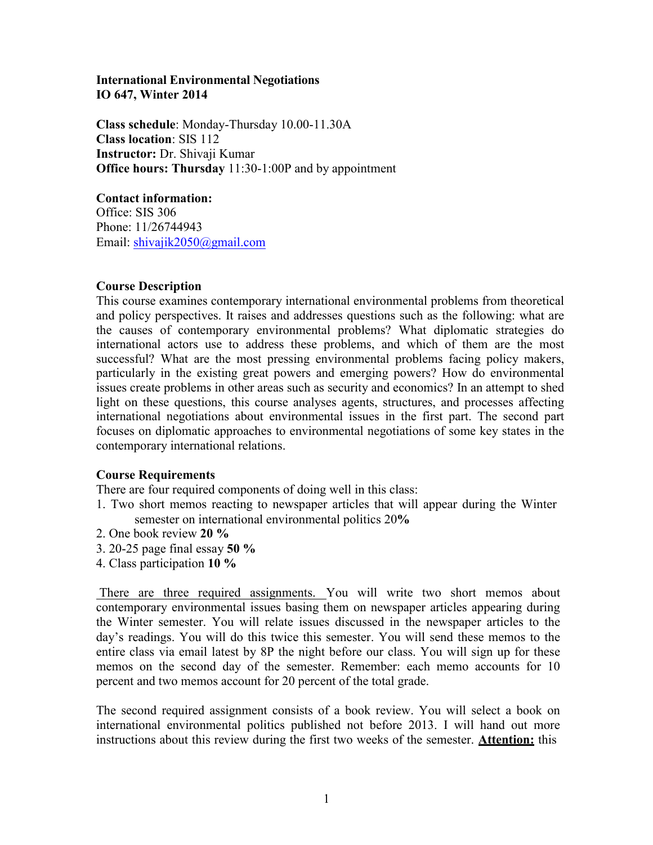### **International Environmental Negotiations IO 647, Winter 2014**

**Class schedule**: Monday-Thursday 10.00-11.30A **Class location**: SIS 112 **Instructor:** Dr. Shivaji Kumar **Office hours: Thursday** 11:30-1:00P and by appointment

#### **Contact information:**

Office: SIS 306 Phone: 11/26744943 Email: shivajik2050@gmail.com

### **Course Description**

This course examines contemporary international environmental problems from theoretical and policy perspectives. It raises and addresses questions such as the following: what are the causes of contemporary environmental problems? What diplomatic strategies do international actors use to address these problems, and which of them are the most successful? What are the most pressing environmental problems facing policy makers, particularly in the existing great powers and emerging powers? How do environmental issues create problems in other areas such as security and economics? In an attempt to shed light on these questions, this course analyses agents, structures, and processes affecting international negotiations about environmental issues in the first part. The second part focuses on diplomatic approaches to environmental negotiations of some key states in the contemporary international relations.

## **Course Requirements**

There are four required components of doing well in this class:

- 1. Two short memos reacting to newspaper articles that will appear during the Winter semester on international environmental politics 20**%**
- 2. One book review **20 %**
- 3. 20-25 page final essay **50 %**
- 4. Class participation **10 %**

There are three required assignments. You will write two short memos about contemporary environmental issues basing them on newspaper articles appearing during the Winter semester. You will relate issues discussed in the newspaper articles to the day's readings. You will do this twice this semester. You will send these memos to the entire class via email latest by 8P the night before our class. You will sign up for these memos on the second day of the semester. Remember: each memo accounts for 10 percent and two memos account for 20 percent of the total grade.

The second required assignment consists of a book review. You will select a book on international environmental politics published not before 2013. I will hand out more instructions about this review during the first two weeks of the semester. **Attention:** this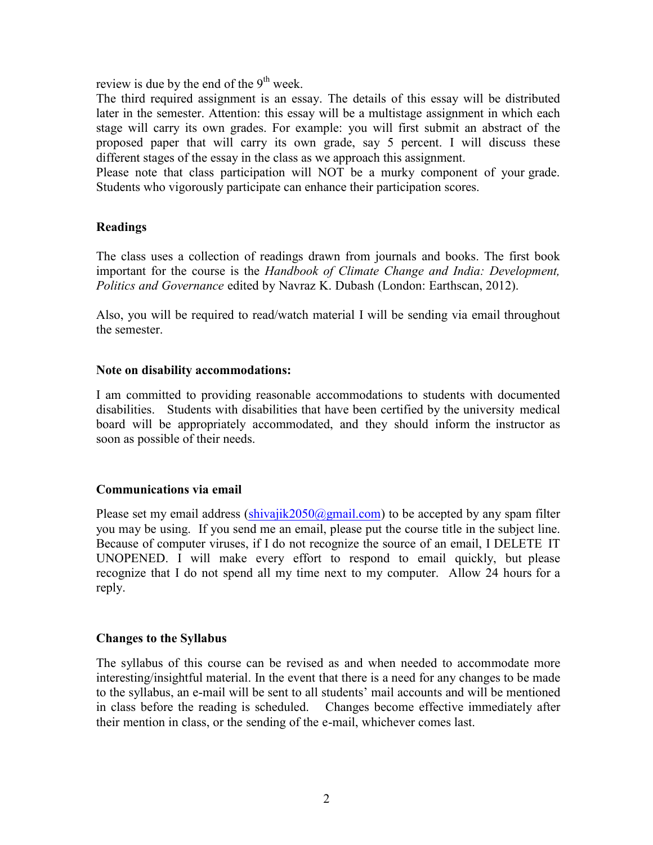review is due by the end of the  $9<sup>th</sup>$  week.

The third required assignment is an essay. The details of this essay will be distributed later in the semester. Attention: this essay will be a multistage assignment in which each stage will carry its own grades. For example: you will first submit an abstract of the proposed paper that will carry its own grade, say 5 percent. I will discuss these different stages of the essay in the class as we approach this assignment.

Please note that class participation will NOT be a murky component of your grade. Students who vigorously participate can enhance their participation scores.

### **Readings**

The class uses a collection of readings drawn from journals and books. The first book important for the course is the *Handbook of Climate Change and India: Development, Politics and Governance* edited by Navraz K. Dubash (London: Earthscan, 2012).

Also, you will be required to read/watch material I will be sending via email throughout the semester.

#### **Note on disability accommodations:**

I am committed to providing reasonable accommodations to students with documented disabilities. Students with disabilities that have been certified by the university medical board will be appropriately accommodated, and they should inform the instructor as soon as possible of their needs.

#### **Communications via email**

Please set my email address  $(\text{shivajik2050@gmail.com})$  to be accepted by any spam filter you may be using. If you send me an email, please put the course title in the subject line. Because of computer viruses, if I do not recognize the source of an email, I DELETE IT UNOPENED. I will make every effort to respond to email quickly, but please recognize that I do not spend all my time next to my computer. Allow 24 hours for a reply.

#### **Changes to the Syllabus**

The syllabus of this course can be revised as and when needed to accommodate more interesting/insightful material. In the event that there is a need for any changes to be made to the syllabus, an e-mail will be sent to all students' mail accounts and will be mentioned in class before the reading is scheduled. Changes become effective immediately after their mention in class, or the sending of the e-mail, whichever comes last.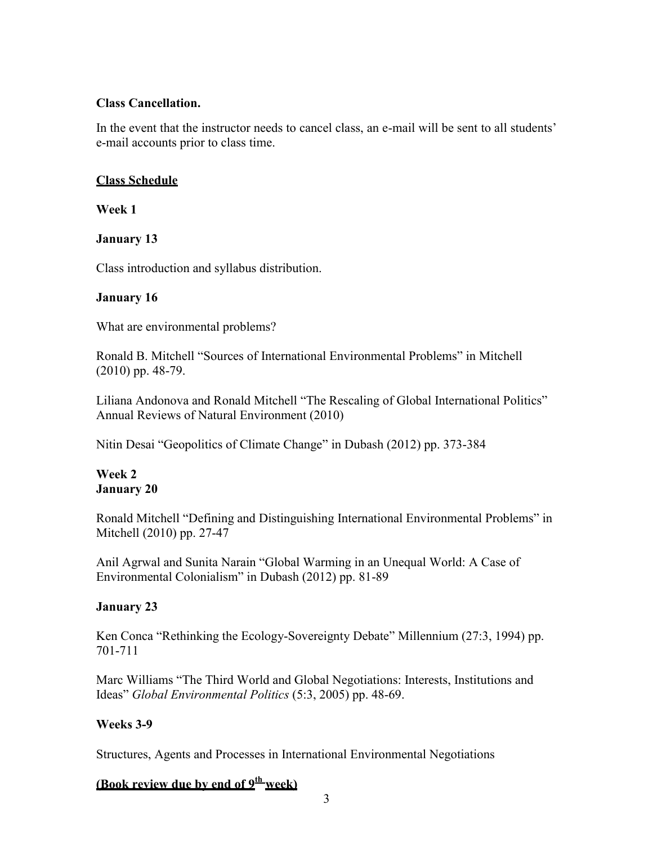### **Class Cancellation.**

In the event that the instructor needs to cancel class, an e-mail will be sent to all students' e-mail accounts prior to class time.

## **Class Schedule**

**Week 1**

## **January 13**

Class introduction and syllabus distribution.

## **January 16**

What are environmental problems?

Ronald B. Mitchell "Sources of International Environmental Problems" in Mitchell (2010) pp. 48-79.

Liliana Andonova and Ronald Mitchell "The Rescaling of Global International Politics" Annual Reviews of Natural Environment (2010)

Nitin Desai "Geopolitics of Climate Change" in Dubash (2012) pp. 373-384

## **Week 2 January 20**

Ronald Mitchell "Defining and Distinguishing International Environmental Problems" in Mitchell (2010) pp. 27-47

Anil Agrwal and Sunita Narain "Global Warming in an Unequal World: A Case of Environmental Colonialism" in Dubash (2012) pp. 81-89

# **January 23**

Ken Conca "Rethinking the Ecology-Sovereignty Debate" Millennium (27:3, 1994) pp. 701-711

Marc Williams "The Third World and Global Negotiations: Interests, Institutions and Ideas" *Global Environmental Politics* (5:3, 2005) pp. 48-69.

## **Weeks 3-9**

Structures, Agents and Processes in International Environmental Negotiations

# **(Book review due by end of 9th week)**